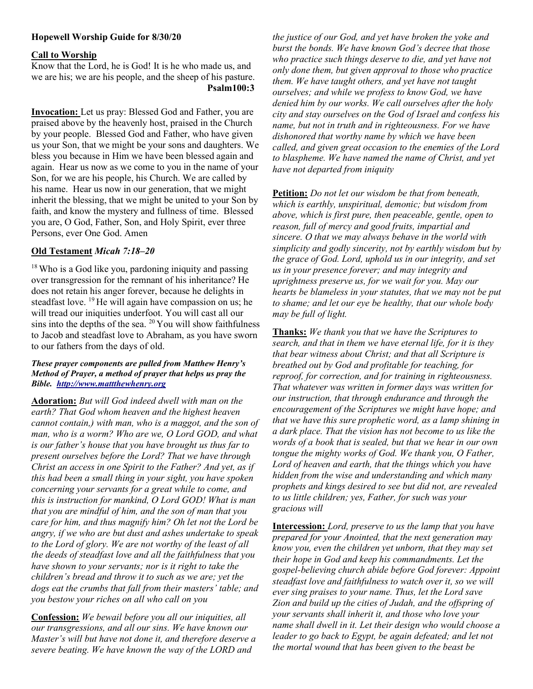# Hopewell Worship Guide for 8/30/20

## Call to Worship

Know that the Lord, he is God! It is he who made us, and we are his; we are his people, and the sheep of his pasture. Psalm100:3

Invocation: Let us pray: Blessed God and Father, you are praised above by the heavenly host, praised in the Church by your people. Blessed God and Father, who have given us your Son, that we might be your sons and daughters. We bless you because in Him we have been blessed again and again. Hear us now as we come to you in the name of your Son, for we are his people, his Church. We are called by his name. Hear us now in our generation, that we might inherit the blessing, that we might be united to your Son by faith, and know the mystery and fullness of time. Blessed you are, O God, Father, Son, and Holy Spirit, ever three Persons, ever One God. Amen

# Old Testament Micah 7:18–20

<sup>18</sup> Who is a God like you, pardoning iniquity and passing over transgression for the remnant of his inheritance? He does not retain his anger forever, because he delights in steadfast love. <sup>19</sup>He will again have compassion on us; he will tread our iniquities underfoot. You will cast all our sins into the depths of the sea.  $20$  You will show faithfulness to Jacob and steadfast love to Abraham, as you have sworn to our fathers from the days of old.

#### These prayer components are pulled from Matthew Henry's Method of Prayer, a method of prayer that helps us pray the Bible. http://www.mattthewhenry.org

Adoration: But will God indeed dwell with man on the earth? That God whom heaven and the highest heaven cannot contain,) with man, who is a maggot, and the son of man, who is a worm? Who are we, O Lord GOD, and what is our father's house that you have brought us thus far to present ourselves before the Lord? That we have through Christ an access in one Spirit to the Father? And yet, as if this had been a small thing in your sight, you have spoken concerning your servants for a great while to come, and this is instruction for mankind, O Lord GOD! What is man that you are mindful of him, and the son of man that you care for him, and thus magnify him? Oh let not the Lord be angry, if we who are but dust and ashes undertake to speak to the Lord of glory. We are not worthy of the least of all the deeds of steadfast love and all the faithfulness that you have shown to your servants; nor is it right to take the children's bread and throw it to such as we are; yet the dogs eat the crumbs that fall from their masters' table; and you bestow your riches on all who call on you

Confession: We bewail before you all our iniquities, all our transgressions, and all our sins. We have known our Master's will but have not done it, and therefore deserve a severe beating. We have known the way of the LORD and

the justice of our God, and yet have broken the yoke and burst the bonds. We have known God's decree that those who practice such things deserve to die, and yet have not only done them, but given approval to those who practice them. We have taught others, and yet have not taught ourselves; and while we profess to know God, we have denied him by our works. We call ourselves after the holy city and stay ourselves on the God of Israel and confess his name, but not in truth and in righteousness. For we have dishonored that worthy name by which we have been called, and given great occasion to the enemies of the Lord to blaspheme. We have named the name of Christ, and yet have not departed from iniquity

Petition: Do not let our wisdom be that from beneath, which is earthly, unspiritual, demonic; but wisdom from above, which is first pure, then peaceable, gentle, open to reason, full of mercy and good fruits, impartial and sincere. O that we may always behave in the world with simplicity and godly sincerity, not by earthly wisdom but by the grace of God. Lord, uphold us in our integrity, and set us in your presence forever; and may integrity and uprightness preserve us, for we wait for you. May our hearts be blameless in your statutes, that we may not be put to shame; and let our eye be healthy, that our whole body may be full of light.

Thanks: We thank you that we have the Scriptures to search, and that in them we have eternal life, for it is they that bear witness about Christ; and that all Scripture is breathed out by God and profitable for teaching, for reproof, for correction, and for training in righteousness. That whatever was written in former days was written for our instruction, that through endurance and through the encouragement of the Scriptures we might have hope; and that we have this sure prophetic word, as a lamp shining in a dark place. That the vision has not become to us like the words of a book that is sealed, but that we hear in our own tongue the mighty works of God. We thank you, O Father, Lord of heaven and earth, that the things which you have hidden from the wise and understanding and which many prophets and kings desired to see but did not, are revealed to us little children; yes, Father, for such was your gracious will

Intercession: Lord, preserve to us the lamp that you have prepared for your Anointed, that the next generation may know you, even the children yet unborn, that they may set their hope in God and keep his commandments. Let the gospel-believing church abide before God forever: Appoint steadfast love and faithfulness to watch over it, so we will ever sing praises to your name. Thus, let the Lord save Zion and build up the cities of Judah, and the offspring of your servants shall inherit it, and those who love your name shall dwell in it. Let their design who would choose a leader to go back to Egypt, be again defeated; and let not the mortal wound that has been given to the beast be